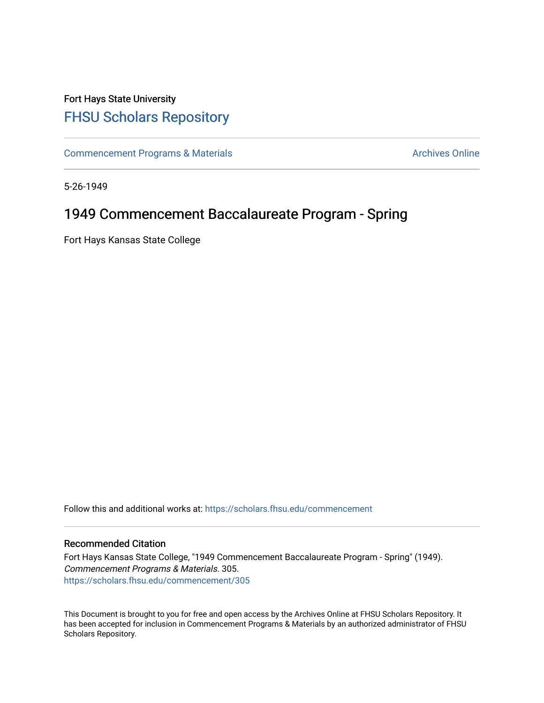## Fort Hays State University [FHSU Scholars Repository](https://scholars.fhsu.edu/)

[Commencement Programs & Materials](https://scholars.fhsu.edu/commencement) **Archives Online** Archives Online

5-26-1949

### 1949 Commencement Baccalaureate Program - Spring

Fort Hays Kansas State College

Follow this and additional works at: [https://scholars.fhsu.edu/commencement](https://scholars.fhsu.edu/commencement?utm_source=scholars.fhsu.edu%2Fcommencement%2F305&utm_medium=PDF&utm_campaign=PDFCoverPages)

#### Recommended Citation

Fort Hays Kansas State College, "1949 Commencement Baccalaureate Program - Spring" (1949). Commencement Programs & Materials. 305. [https://scholars.fhsu.edu/commencement/305](https://scholars.fhsu.edu/commencement/305?utm_source=scholars.fhsu.edu%2Fcommencement%2F305&utm_medium=PDF&utm_campaign=PDFCoverPages)

This Document is brought to you for free and open access by the Archives Online at FHSU Scholars Repository. It has been accepted for inclusion in Commencement Programs & Materials by an authorized administrator of FHSU Scholars Repository.